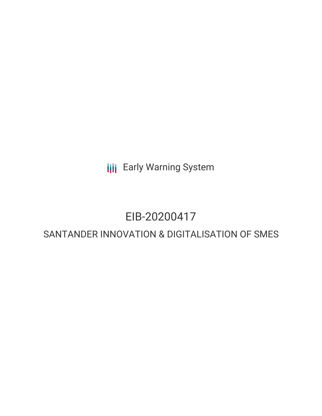**III** Early Warning System

## EIB-20200417

## SANTANDER INNOVATION & DIGITALISATION OF SMES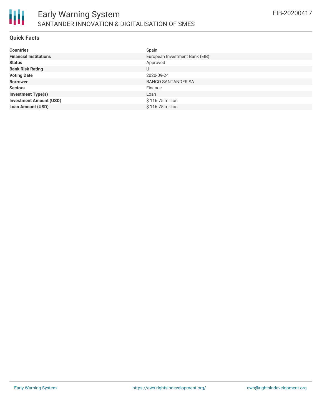

#### **Quick Facts**

| <b>Countries</b>               | Spain                          |
|--------------------------------|--------------------------------|
| <b>Financial Institutions</b>  | European Investment Bank (EIB) |
| <b>Status</b>                  | Approved                       |
| <b>Bank Risk Rating</b>        | U                              |
| <b>Voting Date</b>             | 2020-09-24                     |
| <b>Borrower</b>                | <b>BANCO SANTANDER SA</b>      |
| <b>Sectors</b>                 | Finance                        |
| <b>Investment Type(s)</b>      | Loan                           |
| <b>Investment Amount (USD)</b> | \$116.75 million               |
| <b>Loan Amount (USD)</b>       | \$116.75 million               |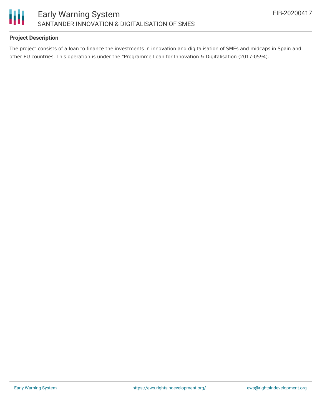

#### **Project Description**

The project consists of a loan to finance the investments in innovation and digitalisation of SMEs and midcaps in Spain and other EU countries. This operation is under the "Programme Loan for Innovation & Digitalisation (2017-0594).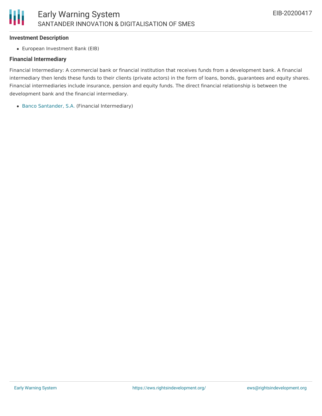#### **Investment Description**

European Investment Bank (EIB)

#### **Financial Intermediary**

Financial Intermediary: A commercial bank or financial institution that receives funds from a development bank. A financial intermediary then lends these funds to their clients (private actors) in the form of loans, bonds, guarantees and equity shares. Financial intermediaries include insurance, pension and equity funds. The direct financial relationship is between the development bank and the financial intermediary.

Banco [Santander,](file:///actor/1281/) S.A. (Financial Intermediary)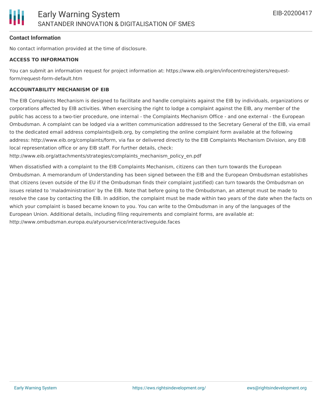#### **Contact Information**

No contact information provided at the time of disclosure.

#### **ACCESS TO INFORMATION**

You can submit an information request for project information at: https://www.eib.org/en/infocentre/registers/requestform/request-form-default.htm

#### **ACCOUNTABILITY MECHANISM OF EIB**

The EIB Complaints Mechanism is designed to facilitate and handle complaints against the EIB by individuals, organizations or corporations affected by EIB activities. When exercising the right to lodge a complaint against the EIB, any member of the public has access to a two-tier procedure, one internal - the Complaints Mechanism Office - and one external - the European Ombudsman. A complaint can be lodged via a written communication addressed to the Secretary General of the EIB, via email to the dedicated email address complaints@eib.org, by completing the online complaint form available at the following address: http://www.eib.org/complaints/form, via fax or delivered directly to the EIB Complaints Mechanism Division, any EIB local representation office or any EIB staff. For further details, check:

http://www.eib.org/attachments/strategies/complaints\_mechanism\_policy\_en.pdf

When dissatisfied with a complaint to the EIB Complaints Mechanism, citizens can then turn towards the European Ombudsman. A memorandum of Understanding has been signed between the EIB and the European Ombudsman establishes that citizens (even outside of the EU if the Ombudsman finds their complaint justified) can turn towards the Ombudsman on issues related to 'maladministration' by the EIB. Note that before going to the Ombudsman, an attempt must be made to resolve the case by contacting the EIB. In addition, the complaint must be made within two years of the date when the facts on which your complaint is based became known to you. You can write to the Ombudsman in any of the languages of the European Union. Additional details, including filing requirements and complaint forms, are available at: http://www.ombudsman.europa.eu/atyourservice/interactiveguide.faces